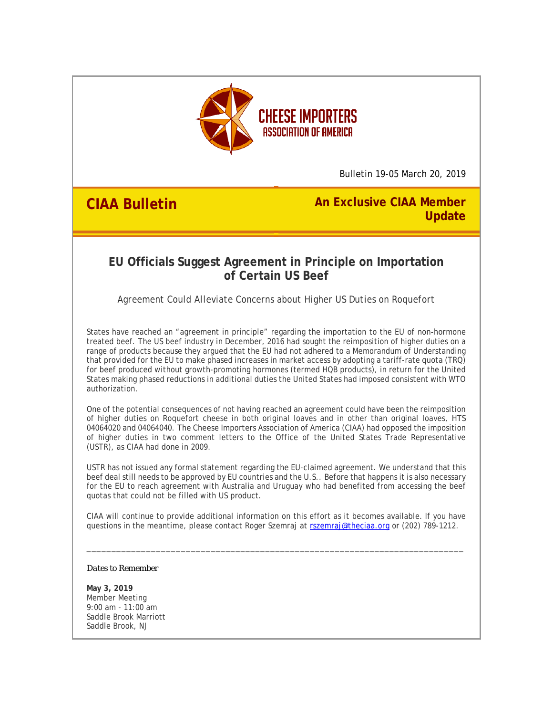

Bulletin 19-05 March 20, 2019

**CIAA Bulletin An Exclusive CIAA Member Update**

## **EU Officials Suggest Agreement in Principle on Importation of Certain US Beef**

*Agreement Could Alleviate Concerns about Higher US Duties on Roquefort*

States have reached an "agreement in principle" regarding the importation to the EU of non-hormone treated beef. The US beef industry in December, 2016 had sought the reimposition of higher duties on a range of products because they argued that the EU had not adhered to a Memorandum of Understanding that provided for the EU to make phased increases in market access by adopting a tariff-rate quota (TRQ) for beef produced without growth-promoting hormones (termed HQB products), in return for the United States making phased reductions in additional duties the United States had imposed consistent with WTO authorization.

One of the potential consequences of not having reached an agreement could have been the reimposition of higher duties on Roquefort cheese in both original loaves and in other than original loaves, HTS 04064020 and 04064040. The Cheese Importers Association of America (CIAA) had opposed the imposition of higher duties in two comment letters to the Office of the United States Trade Representative (USTR), as CIAA had done in 2009.

USTR has not issued any formal statement regarding the EU-claimed agreement. We understand that this beef deal still needs to be approved by EU countries and the U.S.. Before that happens it is also necessary for the EU to reach agreement with Australia and Uruguay who had benefited from accessing the beef quotas that could not be filled with US product.

CIAA will continue to provide additional information on this effort as it becomes available. If you have questions in the meantime, please contact Roger Szemraj at rszemraj@theciaa.org or (202) 789-1212.

\_\_\_\_\_\_\_\_\_\_\_\_\_\_\_\_\_\_\_\_\_\_\_\_\_\_\_\_\_\_\_\_\_\_\_\_\_\_\_\_\_\_\_\_\_\_\_\_\_\_\_\_\_\_\_\_\_\_\_\_\_\_\_\_\_\_\_\_\_\_\_\_\_\_\_\_

## *Dates to Remember*

**May 3, 2019** Member Meeting 9:00 am - 11:00 am Saddle Brook Marriott Saddle Brook, NJ